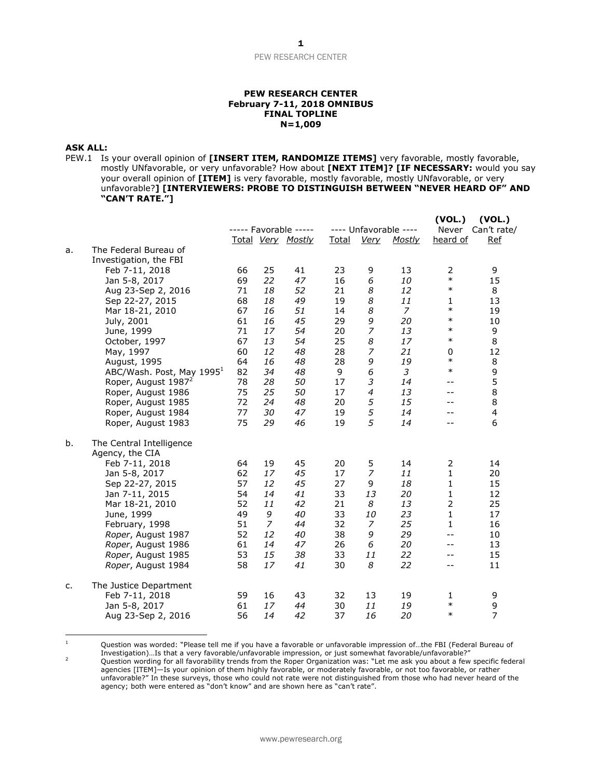#### **PEW RESEARCH CENTER February 7-11, 2018 OMNIBUS FINAL TOPLINE N=1,009**

#### **ASK ALL:**

PEW.1 Is your overall opinion of **[INSERT ITEM, RANDOMIZE ITEMS]** very favorable, mostly favorable, mostly UNfavorable, or very unfavorable? How about **[NEXT ITEM]? [IF NECESSARY:** would you say your overall opinion of **[ITEM]** is very favorable, mostly favorable, mostly UNfavorable, or very unfavorable?**] [INTERVIEWERS: PROBE TO DISTINGUISH BETWEEN "NEVER HEARD OF" AND "CAN'T RATE."]**

|    |                                                 |    |                | ----- Favorable ----- | ---- Unfavorable ---- |                | (VOL.)<br>(VOL.)<br>Never<br>Can't rate/ |                          |                |
|----|-------------------------------------------------|----|----------------|-----------------------|-----------------------|----------------|------------------------------------------|--------------------------|----------------|
|    |                                                 |    |                | Total Very Mostly     | <u>Total</u>          | <b>Very</b>    | <b>Mostly</b>                            | heard of                 | <u>Ref</u>     |
| a. | The Federal Bureau of<br>Investigation, the FBI |    |                |                       |                       |                |                                          |                          |                |
|    | Feb 7-11, 2018                                  | 66 | 25             | 41                    | 23                    | 9              | 13                                       | $\overline{2}$<br>$\ast$ | 9              |
|    | Jan 5-8, 2017                                   | 69 | 22             | 47                    | 16                    | 6              | 10                                       | $\ast$                   | 15             |
|    | Aug 23-Sep 2, 2016                              | 71 | 18             | 52                    | 21                    | 8              | 12                                       |                          | 8              |
|    | Sep 22-27, 2015                                 | 68 | 18             | 49                    | 19                    | 8              | 11                                       | 1<br>$\ast$              | 13             |
|    | Mar 18-21, 2010                                 | 67 | 16             | 51                    | 14                    | 8              | 7                                        | $\ast$                   | 19             |
|    | July, 2001                                      | 61 | 16             | 45                    | 29                    | 9              | 20                                       | $\ast$                   | 10             |
|    | June, 1999                                      | 71 | 17             | 54                    | 20                    | 7              | 13                                       | $\ast$                   | 9              |
|    | October, 1997                                   | 67 | 13             | 54                    | 25                    | 8              | 17                                       |                          | 8              |
|    | May, 1997                                       | 60 | 12             | 48                    | 28                    | 7              | 21                                       | 0<br>$\ast$              | 12             |
|    | August, 1995                                    | 64 | 16             | 48                    | 28                    | 9              | 19                                       | $\ast$                   | 8              |
|    | ABC/Wash. Post, May 1995 <sup>1</sup>           | 82 | 34             | 48                    | 9                     | 6              | 3                                        |                          | 9              |
|    | Roper, August 1987 <sup>2</sup>                 | 78 | 28             | 50                    | 17                    | 3              | 14                                       | $-1$                     | 5              |
|    | Roper, August 1986                              | 75 | 25             | 50                    | 17                    | $\overline{4}$ | 13                                       | $- -$                    | 8              |
|    | Roper, August 1985                              | 72 | 24             | 48                    | 20                    | 5              | 15                                       |                          | 8              |
|    | Roper, August 1984                              | 77 | 30             | 47                    | 19                    | 5              | 14                                       | $-1$                     | $\overline{4}$ |
|    | Roper, August 1983                              | 75 | 29             | 46                    | 19                    | 5              | 14                                       |                          | 6              |
| b. | The Central Intelligence                        |    |                |                       |                       |                |                                          |                          |                |
|    | Agency, the CIA                                 |    |                |                       |                       |                |                                          |                          |                |
|    | Feb 7-11, 2018                                  | 64 | 19             | 45                    | 20                    | 5              | 14                                       | 2                        | 14             |
|    | Jan 5-8, 2017                                   | 62 | 17             | 45                    | 17                    | 7              | 11                                       | 1                        | 20             |
|    | Sep 22-27, 2015                                 | 57 | 12             | 45                    | 27                    | 9              | 18                                       | $\mathbf{1}$             | 15             |
|    | Jan 7-11, 2015                                  | 54 | 14             | 41                    | 33                    | 13             | 20                                       | $\mathbf{1}$             | 12             |
|    | Mar 18-21, 2010                                 | 52 | 11             | 42                    | 21                    | 8              | 13                                       | $\mathbf 2$              | 25             |
|    | June, 1999                                      | 49 | 9              | 40                    | 33                    | 10             | 23                                       | $\mathbf{1}$             | 17             |
|    | February, 1998                                  | 51 | $\overline{7}$ | 44                    | 32                    | 7              | 25                                       | 1                        | 16             |
|    | Roper, August 1987                              | 52 | 12             | 40                    | 38                    | 9              | 29                                       | $-$                      | 10             |
|    | Roper, August 1986                              | 61 | 14             | 47                    | 26                    | 6              | 20                                       | --                       | 13             |
|    | Roper, August 1985                              | 53 | 15             | 38                    | 33                    | 11             | 22                                       | $-1$                     | 15             |
|    | Roper, August 1984                              | 58 | 17             | 41                    | 30                    | 8              | 22                                       | --                       | 11             |
| c. | The Justice Department                          |    |                |                       |                       |                |                                          |                          |                |
|    | Feb 7-11, 2018                                  | 59 | 16             | 43                    | 32                    | 13             | 19                                       | 1                        | 9              |
|    | Jan 5-8, 2017                                   | 61 | 17             | 44                    | 30                    | 11             | 19                                       | $\ast$                   | 9              |
|    | Aug 23-Sep 2, 2016                              | 56 | 14             | 42                    | 37                    | 16             | 20                                       | $\ast$                   | $\overline{7}$ |

 $\overline{1}$ <sup>1</sup> Question was worded: "Please tell me if you have a favorable or unfavorable impression of…the FBI (Federal Bureau of Investigation)…Is that a very favorable/unfavorable impression, or just somewhat favorable/unfavorable?"

<sup>2</sup> Question wording for all favorability trends from the Roper Organization was: "Let me ask you about a few specific federal agencies [ITEM]—Is your opinion of them highly favorable, or moderately favorable, or not too favorable, or rather unfavorable?" In these surveys, those who could not rate were not distinguished from those who had never heard of the agency; both were entered as "don't know" and are shown here as "can't rate".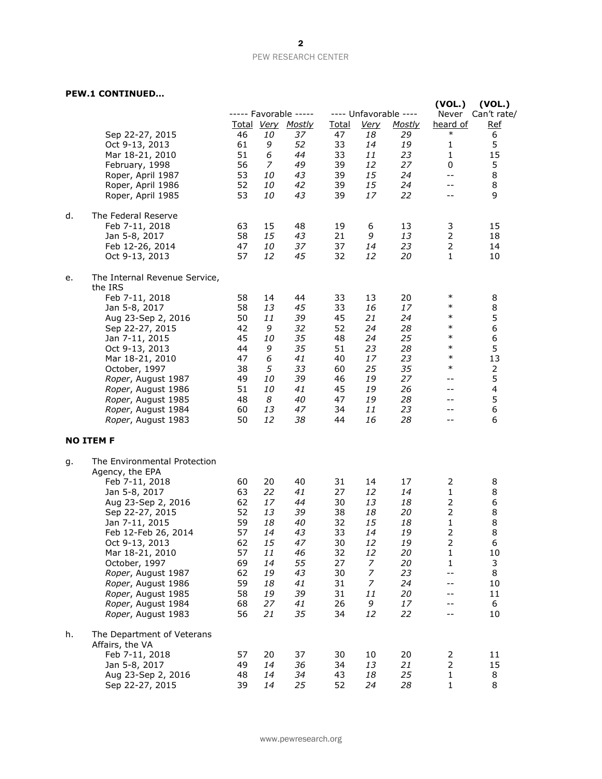### **PEW.1 CONTINUED…**

|    | כטווונווטבי                                                                                                                                                                                                                                                                                                                              |                                                                                  |                                                                                  |                                                                                      |                                                                                  |                                                                                           |                                                                                  |                                                                                                                   |                                                                             |
|----|------------------------------------------------------------------------------------------------------------------------------------------------------------------------------------------------------------------------------------------------------------------------------------------------------------------------------------------|----------------------------------------------------------------------------------|----------------------------------------------------------------------------------|--------------------------------------------------------------------------------------|----------------------------------------------------------------------------------|-------------------------------------------------------------------------------------------|----------------------------------------------------------------------------------|-------------------------------------------------------------------------------------------------------------------|-----------------------------------------------------------------------------|
|    | Sep 22-27, 2015<br>Oct 9-13, 2013<br>Mar 18-21, 2010<br>February, 1998<br>Roper, April 1987<br>Roper, April 1986<br>Roper, April 1985                                                                                                                                                                                                    | 46<br>61<br>51<br>56<br>53<br>52<br>53                                           | 10<br>9<br>6<br>7<br>10<br>10<br>10                                              | ----- Favorable -----<br>Total Very Mostly<br>37<br>52<br>44<br>49<br>43<br>42<br>43 | <u>Total</u><br>47<br>33<br>33<br>39<br>39<br>39<br>39                           | <u>Very</u><br>18<br>14<br>11<br>12<br>15<br>15<br>17                                     | ---- Unfavorable ----<br><u>Mostly</u><br>29<br>19<br>23<br>27<br>24<br>24<br>22 | (VOL.)<br>Never<br>heard of<br>$\ast$<br>$\mathbf{1}$<br>$\mathbf{1}$<br>0<br>$- -$<br>$- -$<br>$- -$             | (VOL.)<br>Can't rate/<br><u>Ref</u><br>6<br>5<br>15<br>5<br>8<br>8<br>9     |
| d. | The Federal Reserve<br>Feb 7-11, 2018<br>Jan 5-8, 2017<br>Feb 12-26, 2014<br>Oct 9-13, 2013                                                                                                                                                                                                                                              | 63<br>58<br>47<br>57                                                             | 15<br>15<br>10<br>12                                                             | 48<br>43<br>37<br>45                                                                 | 19<br>21<br>37<br>32                                                             | 6<br>9<br>14<br>12                                                                        | 13<br>13<br>23<br>20                                                             | 3<br>$\overline{2}$<br>$\mathbf{1}$                                                                               | 15<br>18<br>14<br>10                                                        |
| е. | The Internal Revenue Service,<br>the IRS<br>Feb 7-11, 2018<br>Jan 5-8, 2017<br>Aug 23-Sep 2, 2016<br>Sep 22-27, 2015<br>Jan 7-11, 2015<br>Oct 9-13, 2013<br>Mar 18-21, 2010<br>October, 1997<br>Roper, August 1987<br>Roper, August 1986<br>Roper, August 1985<br>Roper, August 1984<br>Roper, August 1983                               | 58<br>58<br>50<br>42<br>45<br>44<br>47<br>38<br>49<br>51<br>48<br>60<br>50       | 14<br>13<br>11<br>9<br><i>10</i><br>9<br>6<br>5<br>10<br>10<br>8<br>13<br>12     | 44<br>45<br>39<br>32<br>35<br>35<br>41<br>33<br>39<br>41<br>40<br>47<br>38           | 33<br>33<br>45<br>52<br>48<br>51<br>40<br>60<br>46<br>45<br>47<br>34<br>44       | 13<br>16<br>21<br>24<br>24<br>23<br>17<br>25<br>19<br>19<br>19<br>11<br>16                | 20<br>17<br>24<br>28<br>25<br>28<br>23<br>35<br>27<br>26<br>28<br>23<br>28       | $\ast$<br>$\ast$<br>$\ast$<br>$\ast$<br>$\ast$<br>$\ast$<br>$\ast$<br>$\ast$<br>$- -$<br>--<br>$-1$<br>$-1$<br>-- | 8<br>8<br>5<br>6<br>6<br>5<br>13<br>$\overline{2}$<br>5<br>4<br>5<br>6<br>6 |
|    | <b>NO ITEM F</b>                                                                                                                                                                                                                                                                                                                         |                                                                                  |                                                                                  |                                                                                      |                                                                                  |                                                                                           |                                                                                  |                                                                                                                   |                                                                             |
| g. | The Environmental Protection<br>Agency, the EPA<br>Feb 7-11, 2018<br>Jan 5-8, 2017<br>Aug 23-Sep 2, 2016<br>Sep 22-27, 2015<br>Jan 7-11, 2015<br>Feb 12-Feb 26, 2014<br>Oct 9-13, 2013<br>Mar 18-21, 2010<br>October, 1997<br>Roper, August 1987<br>Roper, August 1986<br>Roper, August 1985<br>Roper, August 1984<br>Roper, August 1983 | 60<br>63<br>62<br>52<br>59<br>57<br>62<br>57<br>69<br>62<br>59<br>58<br>68<br>56 | 20<br>22<br>17<br>13<br>18<br>14<br>15<br>11<br>14<br>19<br>18<br>19<br>27<br>21 | 40<br>41<br>44<br>39<br>40<br>43<br>47<br>46<br>55<br>43<br>41<br>39<br>41<br>35     | 31<br>27<br>30<br>38<br>32<br>33<br>30<br>32<br>27<br>30<br>31<br>31<br>26<br>34 | 14<br>12<br>13<br>18<br>15<br>14<br>12<br>12<br>7<br>7<br>$\overline{z}$<br>11<br>9<br>12 | 17<br>14<br>18<br>20<br>18<br>19<br>19<br>20<br>20<br>23<br>24<br>20<br>17<br>22 | 2<br>1<br>$\mathsf{2}\,$<br>$\mathbf 1$<br>2<br>$\overline{c}$<br>1<br>1<br>$-$<br>$-$                            | 8<br>8<br>6<br>8<br>8<br>8<br>6<br>10<br>3<br>8<br>10<br>11<br>6<br>10      |
| h. | The Department of Veterans<br>Affairs, the VA<br>Feb 7-11, 2018<br>Jan 5-8, 2017<br>Aug 23-Sep 2, 2016<br>Sep 22-27, 2015                                                                                                                                                                                                                | 57<br>49<br>48<br>39                                                             | 20<br>14<br>14<br>14                                                             | 37<br>36<br>34<br>25                                                                 | 30<br>34<br>43<br>52                                                             | 10<br>13<br>18<br>24                                                                      | 20<br>21<br>25<br>28                                                             | $\overline{2}$<br>1<br>$\mathbf 1$                                                                                | 11<br>15<br>8<br>8                                                          |

www.pewresearch.org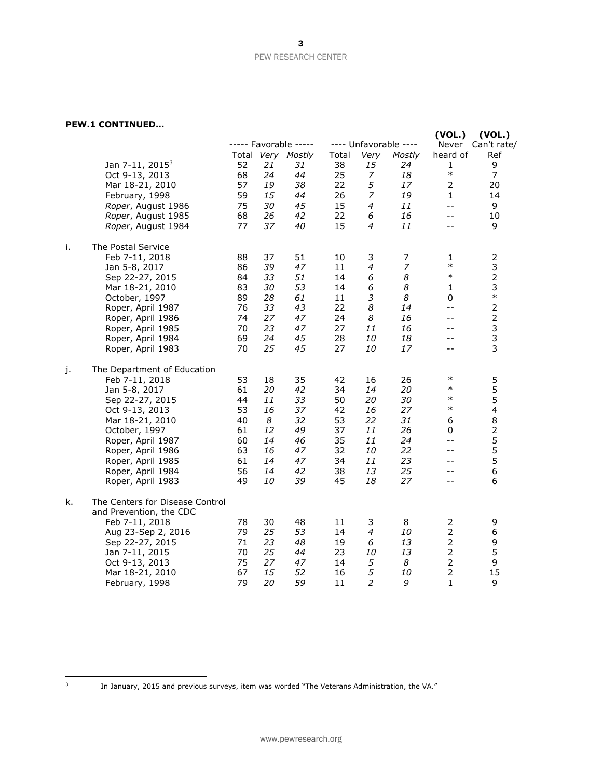## **PEW.1 CONTINUED…**

|    | וגודוטט ב.                      |    |    |                                            |              |                  |                                        | (VOL.)            | (VOL.)                    |
|----|---------------------------------|----|----|--------------------------------------------|--------------|------------------|----------------------------------------|-------------------|---------------------------|
|    |                                 |    |    | ----- Favorable -----<br>Total Very Mostly | <b>Total</b> | <u>Very</u>      | ---- Unfavorable ----<br><b>Mostly</b> | Never<br>heard of | Can't rate/<br><b>Ref</b> |
|    | Jan 7-11, 2015 <sup>3</sup>     | 52 | 21 | 31                                         | 38           | 15               | 24                                     | 1                 | 9                         |
|    | Oct 9-13, 2013                  | 68 | 24 | 44                                         | 25           | 7                | 18                                     | $\ast$            | $\overline{7}$            |
|    | Mar 18-21, 2010                 | 57 | 19 | 38                                         | 22           | 5                | 17                                     | $\overline{2}$    | 20                        |
|    | February, 1998                  | 59 | 15 | 44                                         | 26           | 7                | 19                                     | $\mathbf{1}$      | 14                        |
|    | Roper, August 1986              | 75 | 30 | 45                                         | 15           | $\overline{a}$   | 11                                     | $- -$             | 9                         |
|    | Roper, August 1985              | 68 | 26 | 42                                         | 22           | 6                | 16                                     | $- -$             | 10                        |
|    | Roper, August 1984              | 77 | 37 | 40                                         | 15           | $\overline{4}$   | 11                                     | --                | 9                         |
| i. | The Postal Service              |    |    |                                            |              |                  |                                        |                   |                           |
|    | Feb 7-11, 2018                  | 88 | 37 | 51                                         | 10           | 3                | 7                                      | 1                 | $\overline{2}$            |
|    | Jan 5-8, 2017                   | 86 | 39 | 47                                         | 11           | $\boldsymbol{4}$ | $\overline{z}$                         | $\ast$            | $\mathsf 3$               |
|    | Sep 22-27, 2015                 | 84 | 33 | 51                                         | 14           | 6                | 8                                      | $\ast$            | $\mathbf 2$               |
|    | Mar 18-21, 2010                 | 83 | 30 | 53                                         | 14           | 6                | 8                                      | 1                 | 3                         |
|    | October, 1997                   | 89 | 28 | 61                                         | 11           | 3                | 8                                      | 0                 | $\ast$                    |
|    | Roper, April 1987               | 76 | 33 | 43                                         | 22           | 8                | 14                                     | $- -$             | $\mathbf 2$               |
|    | Roper, April 1986               | 74 | 27 | 47                                         | 24           | 8                | 16                                     | --                | $\mathbf 2$               |
|    | Roper, April 1985               | 70 | 23 | 47                                         | 27           | 11               | 16                                     | $- -$             | $\mathsf 3$               |
|    | Roper, April 1984               | 69 | 24 | 45                                         | 28           | 10               | 18                                     | $-$               | 3                         |
|    | Roper, April 1983               | 70 | 25 | 45                                         | 27           | 10               | 17                                     | $-$               | 3                         |
| j. | The Department of Education     |    |    |                                            |              |                  |                                        |                   |                           |
|    | Feb 7-11, 2018                  | 53 | 18 | 35                                         | 42           | 16               | 26                                     | $\ast$            | 5                         |
|    | Jan 5-8, 2017                   | 61 | 20 | 42                                         | 34           | 14               | 20                                     | $\ast$            | 5                         |
|    | Sep 22-27, 2015                 | 44 | 11 | 33                                         | 50           | 20               | 30                                     | $\ast$            | 5                         |
|    | Oct 9-13, 2013                  | 53 | 16 | 37                                         | 42           | 16               | 27                                     | $\ast$            | $\overline{4}$            |
|    | Mar 18-21, 2010                 | 40 | 8  | 32                                         | 53           | 22               | 31                                     | 6                 | 8                         |
|    | October, 1997                   | 61 | 12 | 49                                         | 37           | 11               | 26                                     | 0                 | $\overline{2}$            |
|    | Roper, April 1987               | 60 | 14 | 46                                         | 35           | 11               | 24                                     | $- -$             | 5                         |
|    | Roper, April 1986               | 63 | 16 | 47                                         | 32           | 10               | 22                                     | $-$               | 5                         |
|    | Roper, April 1985               | 61 | 14 | 47                                         | 34           | 11               | 23                                     | $- -$             | 5                         |
|    | Roper, April 1984               | 56 | 14 | 42                                         | 38           | 13               | 25                                     | $- -$             | 6                         |
|    | Roper, April 1983               | 49 | 10 | 39                                         | 45           | 18               | 27                                     | $- -$             | 6                         |
| k. | The Centers for Disease Control |    |    |                                            |              |                  |                                        |                   |                           |
|    | and Prevention, the CDC         |    |    |                                            |              |                  |                                        |                   |                           |
|    | Feb 7-11, 2018                  | 78 | 30 | 48                                         | 11           | 3                | 8                                      | $\overline{2}$    | 9                         |
|    | Aug 23-Sep 2, 2016              | 79 | 25 | 53                                         | 14           | $\overline{a}$   | 10                                     | $\overline{2}$    | 6                         |
|    | Sep 22-27, 2015                 | 71 | 23 | 48                                         | 19           | 6                | 13                                     | $\overline{2}$    | 9                         |
|    | Jan 7-11, 2015                  | 70 | 25 | 44                                         | 23           | 10               | 13                                     | $\overline{2}$    | 5                         |
|    | Oct 9-13, 2013                  | 75 | 27 | 47                                         | 14           | 5                | 8                                      | $\overline{2}$    | 9                         |
|    | Mar 18-21, 2010                 | 67 | 15 | 52                                         | 16           | 5                | 10                                     | $\overline{2}$    | 15                        |
|    | February, 1998                  | 79 | 20 | 59                                         | 11           | $\overline{2}$   | 9                                      | $\mathbf{1}$      | 9                         |

 $\frac{1}{3}$ 

In January, 2015 and previous surveys, item was worded "The Veterans Administration, the VA."

3